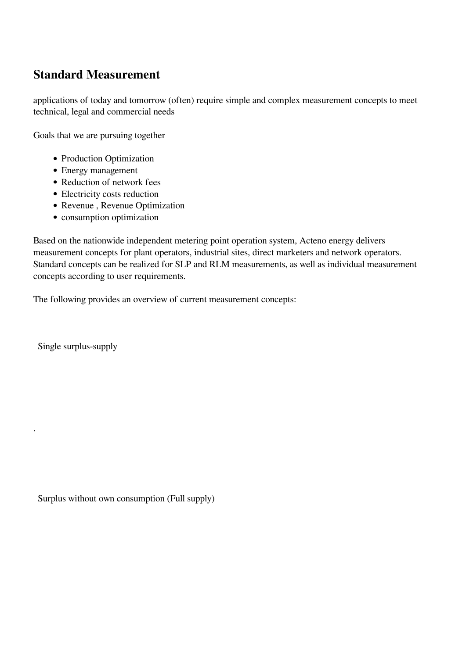## **Standard Measurement**

applications of today and tomorrow (often) require simple and complex measurement concepts to meet technical, legal and commercial needs

Goals that we are pursuing together

- Production Optimization
- Energy management
- Reduction of network fees
- Electricity costs reduction
- Revenue , Revenue Optimization
- consumption optimization

Based on the nationwide independent metering point operation system, Acteno energy delivers measurement concepts for plant operators, industrial sites, direct marketers and network operators. Standard concepts can be realized for SLP and RLM measurements, as well as individual measurement concepts according to user requirements.

The following provides an overview of current measurement concepts:

Single surplus-supply

.

Surplus without own consumption (Full supply)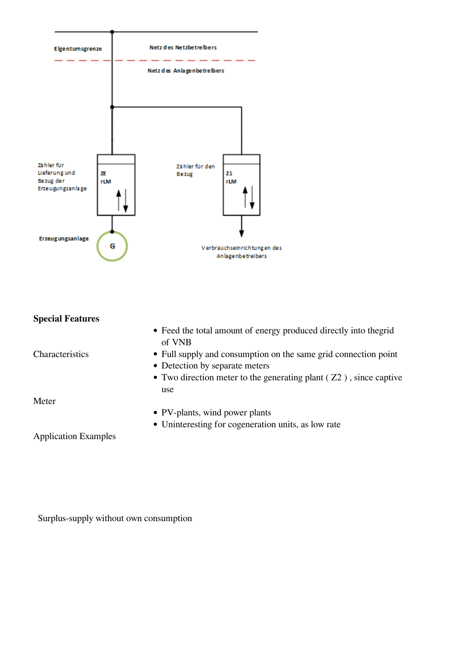

| • Feed the total amount of energy produced directly into the grid<br>of VNB<br>• Full supply and consumption on the same grid connection point |
|------------------------------------------------------------------------------------------------------------------------------------------------|
|                                                                                                                                                |
|                                                                                                                                                |
| • Detection by separate meters                                                                                                                 |
| • Two direction meter to the generating plant $(Z2)$ , since captive                                                                           |
| use                                                                                                                                            |
|                                                                                                                                                |
| • PV-plants, wind power plants                                                                                                                 |
| • Uninteresting for cogeneration units, as low rate                                                                                            |
|                                                                                                                                                |
|                                                                                                                                                |

Surplus-supply without own consumption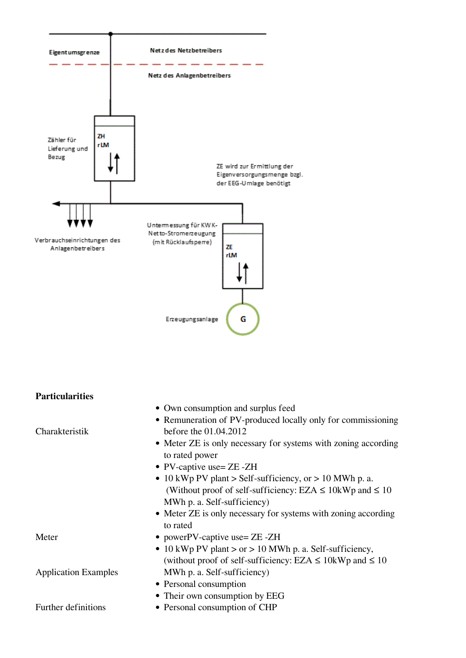

| <b>Particularities</b>      |                                                                                  |
|-----------------------------|----------------------------------------------------------------------------------|
|                             | • Own consumption and surplus feed                                               |
|                             | • Remuneration of PV-produced locally only for commissioning                     |
| Charakteristik              | before the 01.04.2012                                                            |
|                             | • Meter ZE is only necessary for systems with zoning according<br>to rated power |
|                             | • PV-captive use= $ZE - ZH$                                                      |
|                             | • 10 kWp PV plant > Self-sufficiency, or > 10 MWh p. a.                          |
|                             | (Without proof of self-sufficiency: EZA $\leq$ 10kWp and $\leq$ 10               |
|                             | MWh p. a. Self-sufficiency)                                                      |
|                             | • Meter ZE is only necessary for systems with zoning according<br>to rated       |
| Meter                       | • powerPV-captive use= $ZE$ - $ZH$                                               |
|                             | • 10 kWp PV plant > or > 10 MWh p. a. Self-sufficiency,                          |
|                             | (without proof of self-sufficiency: EZA $\leq$ 10kWp and $\leq$ 10               |
| <b>Application Examples</b> | MWh p. a. Self-sufficiency)                                                      |
|                             | • Personal consumption                                                           |
|                             | • Their own consumption by EEG                                                   |
| Further definitions         | • Personal consumption of CHP                                                    |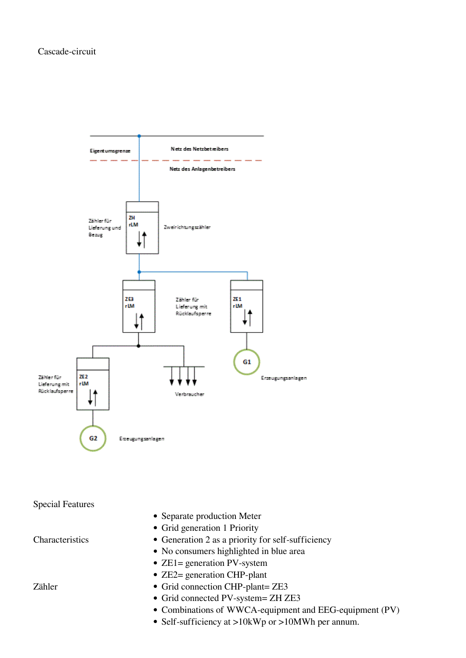

Special Features

Characteristics

- Separate production Meter
- Grid generation 1 Priority
- Generation 2 as a priority for self-sufficiency
- No consumers highlighted in blue area
- ZE1= generation PV-system
- ZE2= generation CHP-plant
- Grid connection CHP-plant= ZE3
- Grid connected PV-system= ZH ZE3
- Combinations of WWCA-equipment and EEG-equipment (PV)
- Self-sufficiency at >10kWp or >10MWh per annum.

Zähler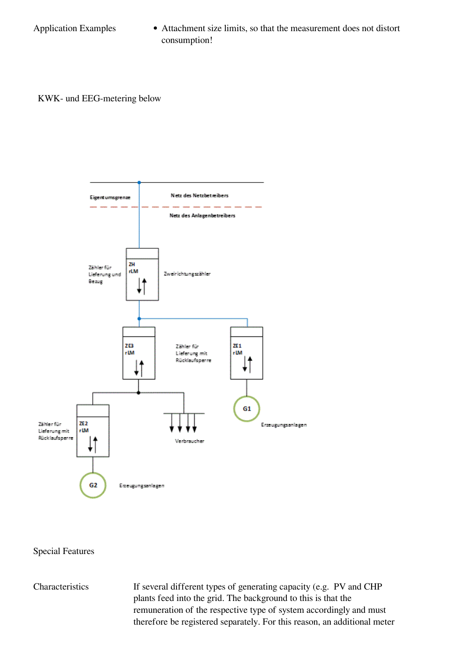Application Examples • Attachment size limits, so that the measurement does not distort consumption!

KWK- und EEG-metering below



## Special Features

Characteristics If several different types of generating capacity (e.g. PV and CHP plants feed into the grid. The background to this is that the remuneration of the respective type of system accordingly and must therefore be registered separately. For this reason, an additional meter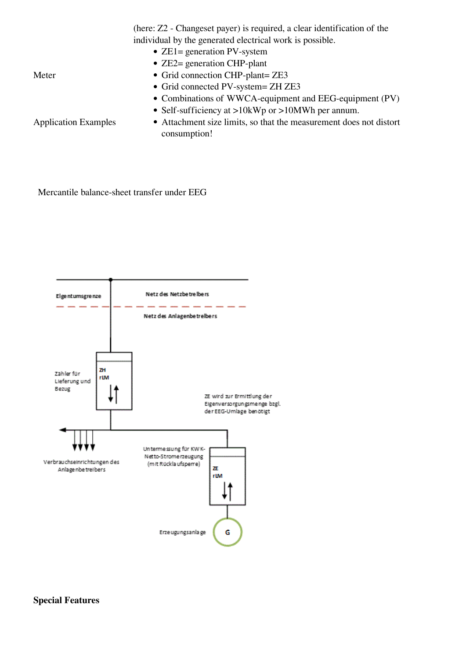(here: Z2 - Changeset payer) is required, a clear identification of the individual by the generated electrical work is possible.

- ZE1= generation PV-system
- ZE2= generation CHP-plant
- Grid connection CHP-plant= ZE3
- Grid connected PV-system= ZH ZE3
- Combinations of WWCA-equipment and EEG-equipment (PV)
- Self-sufficiency at >10kWp or >10MWh per annum.

Application Examples

Meter

Attachment size limits, so that the measurement does not distort consumption!

Mercantile balance-sheet transfer under EEG



**Special Features**